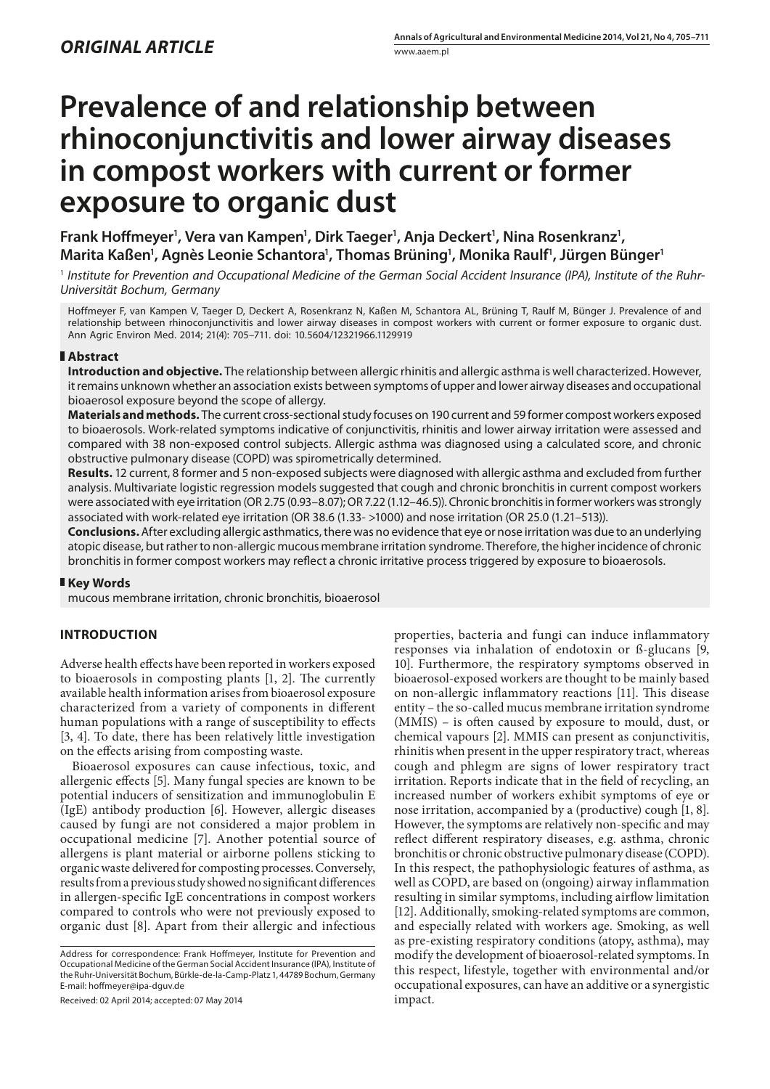# **Prevalence of and relationship between rhinoconjunctivitis and lower airway diseases in compost workers with current or former exposure to organic dust**

Frank Hoffmeyer<sup>1</sup>, Vera van Kampen<sup>1</sup>, Dirk Taeger<sup>1</sup>, Anja Deckert<sup>1</sup>, Nina Rosenkranz<sup>1</sup>, **Marita Kaßen1 , Agnès Leonie Schantora1 , Thomas Brüning1 , Monika Raulf1 , Jürgen Bünger1**

1  *Institute for Prevention and Occupational Medicine of the German Social Accident Insurance (IPA), Institute of the Ruhr-Universität Bochum, Germany*

Hoffmeyer F, van Kampen V, Taeger D, Deckert A, Rosenkranz N, Kaßen M, Schantora AL, Brüning T, Raulf M, Bünger J. Prevalence of and relationship between rhinoconjunctivitis and lower airway diseases in compost workers with current or former exposure to organic dust. Ann Agric Environ Med. 2014; 21(4): 705–711. doi: 10.5604/12321966.1129919

# **Abstract**

**Introduction and objective.** The relationship between allergic rhinitis and allergic asthma is well characterized. However, it remains unknown whether an association exists between symptoms of upper and lower airway diseases and occupational bioaerosol exposure beyond the scope of allergy.

**Materials and methods.** The current cross-sectional study focuses on 190 current and 59 former compost workers exposed to bioaerosols. Work-related symptoms indicative of conjunctivitis, rhinitis and lower airway irritation were assessed and compared with 38 non-exposed control subjects. Allergic asthma was diagnosed using a calculated score, and chronic obstructive pulmonary disease (COPD) was spirometrically determined.

**Results.** 12 current, 8 former and 5 non-exposed subjects were diagnosed with allergic asthma and excluded from further analysis. Multivariate logistic regression models suggested that cough and chronic bronchitis in current compost workers were associated with eye irritation (OR 2.75 (0.93–8.07); OR 7.22 (1.12–46.5)). Chronic bronchitis in former workers was strongly associated with work-related eye irritation (OR 38.6 (1.33- >1000) and nose irritation (OR 25.0 (1.21–513)).

**Conclusions.** After excluding allergic asthmatics, there was no evidence that eye or nose irritation was due to an underlying atopic disease, but rather to non-allergic mucous membrane irritation syndrome. Therefore, the higher incidence of chronic bronchitis in former compost workers may reflect a chronic irritative process triggered by exposure to bioaerosols.

## **Key Words**

mucous membrane irritation, chronic bronchitis, bioaerosol

# **INTRODUCTION**

Adverse health effects have been reported in workers exposed to bioaerosols in composting plants [1, 2]. The currently available health information arises from bioaerosol exposure characterized from a variety of components in different human populations with a range of susceptibility to effects [3, 4]. To date, there has been relatively little investigation on the effects arising from composting waste.

Bioaerosol exposures can cause infectious, toxic, and allergenic effects [5]. Many fungal species are known to be potential inducers of sensitization and immunoglobulin E (IgE) antibody production [6]. However, allergic diseases caused by fungi are not considered a major problem in occupational medicine [7]. Another potential source of allergens is plant material or airborne pollens sticking to organic waste delivered for composting processes. Conversely, results from a previous study showed no significant differences in allergen-specific IgE concentrations in compost workers compared to controls who were not previously exposed to organic dust [8]. Apart from their allergic and infectious

Address for correspondence: Frank Hoffmeyer, Institute for Prevention and Occupational Medicine of the German Social Accident Insurance (IPA), Institute of the Ruhr-Universität Bochum, Bürkle-de-la-Camp-Platz 1, 44789 Bochum, Germany E-mail: hoffmeyer@ipa-dguv.de

Received: 02 April 2014; accepted: 07 May 2014

properties, bacteria and fungi can induce inflammatory responses via inhalation of endotoxin or ß-glucans [9, 10]. Furthermore, the respiratory symptoms observed in bioaerosol-exposed workers are thought to be mainly based on non-allergic inflammatory reactions [11]. This disease entity – the so-called mucus membrane irritation syndrome (MMIS) – is often caused by exposure to mould, dust, or chemical vapours [2]. MMIS can present as conjunctivitis, rhinitis when present in the upper respiratory tract, whereas cough and phlegm are signs of lower respiratory tract irritation. Reports indicate that in the field of recycling, an increased number of workers exhibit symptoms of eye or nose irritation, accompanied by a (productive) cough [1, 8]. However, the symptoms are relatively non-specific and may reflect different respiratory diseases, e.g. asthma, chronic bronchitis or chronic obstructive pulmonary disease (COPD). In this respect, the pathophysiologic features of asthma, as well as COPD, are based on (ongoing) airway inflammation resulting in similar symptoms, including airflow limitation [12]. Additionally, smoking-related symptoms are common, and especially related with workers age. Smoking, as well as pre-existing respiratory conditions (atopy, asthma), may modify the development of bioaerosol-related symptoms. In this respect, lifestyle, together with environmental and/or occupational exposures, can have an additive or a synergistic impact.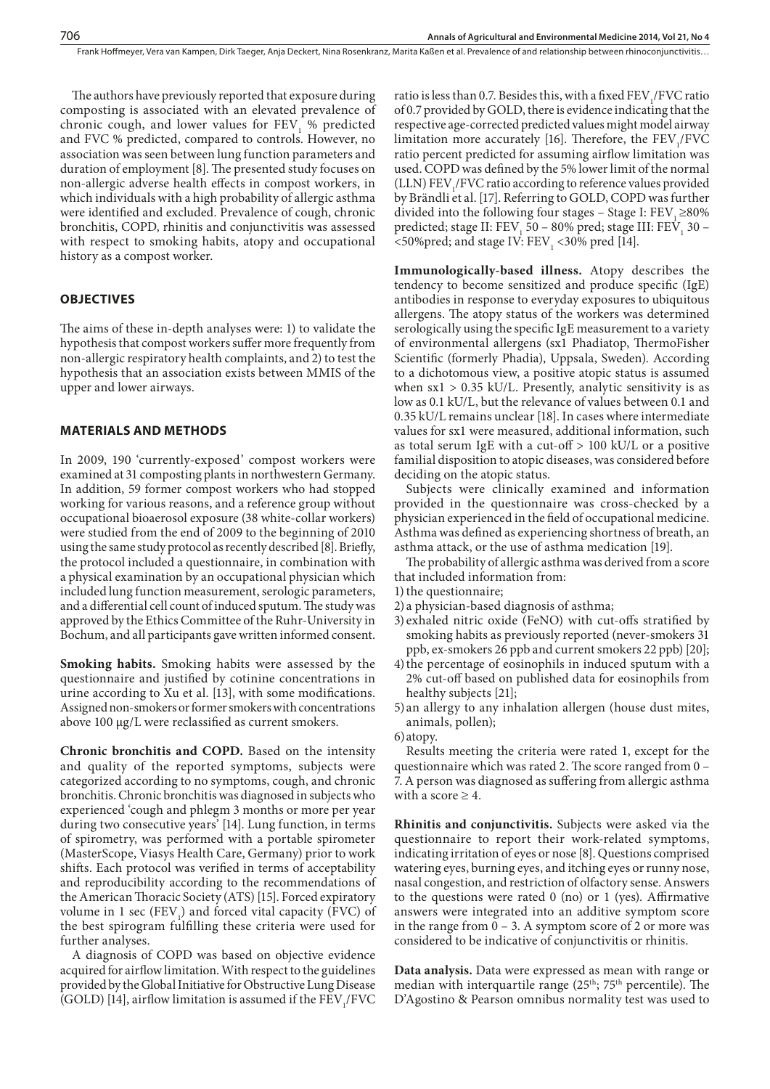The authors have previously reported that exposure during composting is associated with an elevated prevalence of chronic cough, and lower values for  $FEV<sub>1</sub>$  % predicted and FVC % predicted, compared to controls. However, no association was seen between lung function parameters and duration of employment [8]. The presented study focuses on non-allergic adverse health effects in compost workers, in which individuals with a high probability of allergic asthma were identified and excluded. Prevalence of cough, chronic bronchitis, COPD, rhinitis and conjunctivitis was assessed with respect to smoking habits, atopy and occupational history as a compost worker.

## **OBJECTIVES**

The aims of these in-depth analyses were: 1) to validate the hypothesis that compost workers suffer more frequently from non-allergic respiratory health complaints, and 2) to test the hypothesis that an association exists between MMIS of the upper and lower airways.

# **MATERIALS AND METHODS**

In 2009, 190 'currently-exposed' compost workers were examined at 31 composting plants in northwestern Germany. In addition, 59 former compost workers who had stopped working for various reasons, and a reference group without occupational bioaerosol exposure (38 white-collar workers) were studied from the end of 2009 to the beginning of 2010 using the same study protocol as recently described [8]. Briefly, the protocol included a questionnaire, in combination with a physical examination by an occupational physician which included lung function measurement, serologic parameters, and a differential cell count of induced sputum. The study was approved by the Ethics Committee of the Ruhr-University in Bochum, and all participants gave written informed consent.

**Smoking habits.** Smoking habits were assessed by the questionnaire and justified by cotinine concentrations in urine according to Xu et al. [13], with some modifications. Assigned non-smokers or former smokers with concentrations above 100 µg/L were reclassified as current smokers.

**Chronic bronchitis and COPD.** Based on the intensity and quality of the reported symptoms, subjects were categorized according to no symptoms, cough, and chronic bronchitis. Chronic bronchitis was diagnosed in subjects who experienced 'cough and phlegm 3 months or more per year during two consecutive years' [14]. Lung function, in terms of spirometry, was performed with a portable spirometer (MasterScope, Viasys Health Care, Germany) prior to work shifts. Each protocol was verified in terms of acceptability and reproducibility according to the recommendations of the American Thoracic Society (ATS) [15]. Forced expiratory volume in 1 sec  $(FEV<sub>1</sub>)$  and forced vital capacity  $(FVC)$  of the best spirogram fulfilling these criteria were used for further analyses.

A diagnosis of COPD was based on objective evidence acquired for airflow limitation. With respect to the guidelines provided by the Global Initiative for Obstructive Lung Disease (GOLD) [14], airflow limitation is assumed if the  $\mathrm{FEV}_1/\mathrm{FVC}$ 

ratio is less than 0.7. Besides this, with a fixed  $FEV<sub>1</sub>/FVC$  ratio of 0.7 provided by GOLD, there is evidence indicating that the respective age-corrected predicted values might model airway limitation more accurately [16]. Therefore, the  $FEV<sub>1</sub>/FVC$ ratio percent predicted for assuming airflow limitation was used. COPD was defined by the 5% lower limit of the normal  $(LLN) FEV<sub>1</sub>/FVC ratio according to reference values provided$ by Brändli et al. [17]. Referring to GOLD, COPD was further divided into the following four stages – Stage I:  $FEV$ <sub>1</sub> ≥80% predicted; stage II:  $FEV_1$  50 – 80% pred; stage III:  $FEV_1$  30 –  $\langle$  =50%pred; and stage IV: FEV<sub>1</sub>  $\langle$  30% pred [14].

**Immunologically-based illness.** Atopy describes the tendency to become sensitized and produce specific (IgE) antibodies in response to everyday exposures to ubiquitous allergens. The atopy status of the workers was determined serologically using the specific IgE measurement to a variety of environmental allergens (sx1 Phadiatop, ThermoFisher Scientific (formerly Phadia), Uppsala, Sweden). According to a dichotomous view, a positive atopic status is assumed when  $sx1 > 0.35$  kU/L. Presently, analytic sensitivity is as low as 0.1 kU/L, but the relevance of values between 0.1 and 0.35 kU/L remains unclear [18]. In cases where intermediate values for sx1 were measured, additional information, such as total serum IgE with a cut-off > 100 kU/L or a positive familial disposition to atopic diseases, was considered before deciding on the atopic status.

Subjects were clinically examined and information provided in the questionnaire was cross-checked by a physician experienced in the field of occupational medicine. Asthma was defined as experiencing shortness of breath, an asthma attack, or the use of asthma medication [19].

The probability of allergic asthma was derived from a score that included information from:

- 1) the questionnaire;
- 2) a physician-based diagnosis of asthma;
- 3) exhaled nitric oxide (FeNO) with cut-offs stratified by smoking habits as previously reported (never-smokers 31 ppb, ex-smokers 26 ppb and current smokers 22 ppb) [20];
- 4)the percentage of eosinophils in induced sputum with a 2% cut-off based on published data for eosinophils from healthy subjects [21];
- 5)an allergy to any inhalation allergen (house dust mites, animals, pollen);
- 6)atopy.

Results meeting the criteria were rated 1, except for the questionnaire which was rated 2. The score ranged from 0 – 7. A person was diagnosed as suffering from allergic asthma with a score  $\geq 4$ .

**Rhinitis and conjunctivitis.** Subjects were asked via the questionnaire to report their work-related symptoms, indicating irritation of eyes or nose [8]. Questions comprised watering eyes, burning eyes, and itching eyes or runny nose, nasal congestion, and restriction of olfactory sense. Answers to the questions were rated 0 (no) or 1 (yes). Affirmative answers were integrated into an additive symptom score in the range from  $0 - 3$ . A symptom score of 2 or more was considered to be indicative of conjunctivitis or rhinitis.

**Data analysis.** Data were expressed as mean with range or median with interquartile range (25<sup>th</sup>; 75<sup>th</sup> percentile). The D'Agostino & Pearson omnibus normality test was used to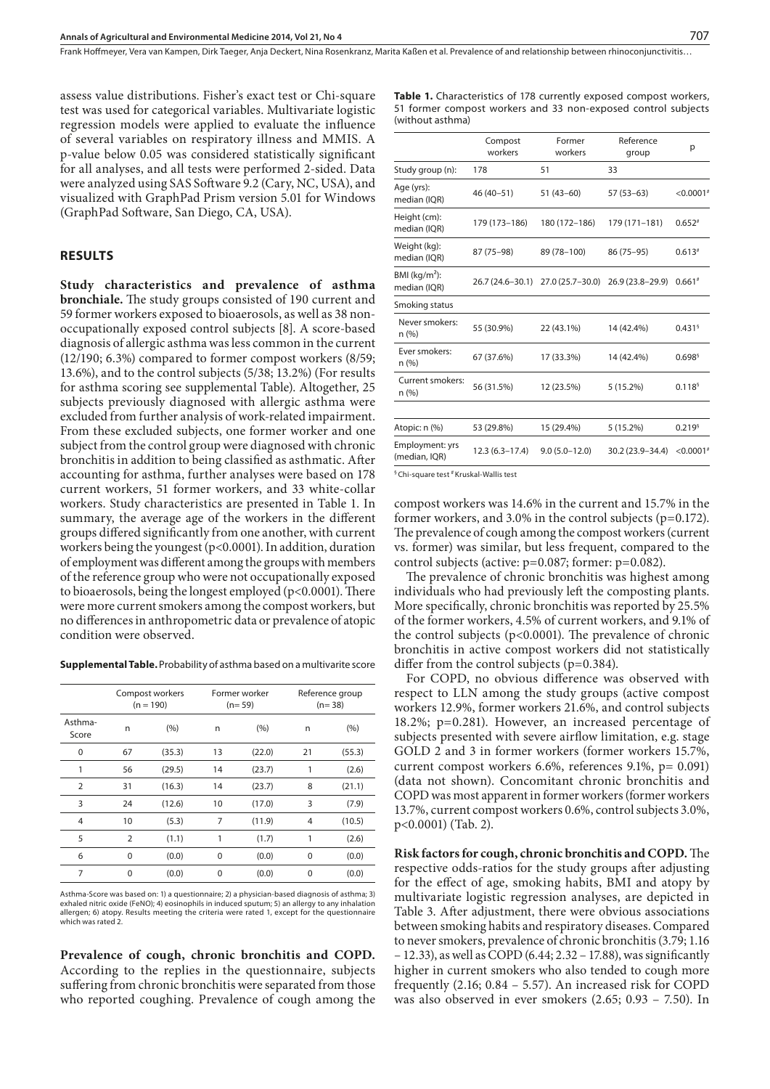assess value distributions. Fisher's exact test or Chi-square test was used for categorical variables. Multivariate logistic regression models were applied to evaluate the influence of several variables on respiratory illness and MMIS. A p-value below 0.05 was considered statistically significant for all analyses, and all tests were performed 2-sided. Data were analyzed using SAS Software 9.2 (Cary, NC, USA), and visualized with GraphPad Prism version 5.01 for Windows (GraphPad Software, San Diego, CA, USA).

# **RESULTS**

**Study characteristics and prevalence of asthma bronchiale.** The study groups consisted of 190 current and 59 former workers exposed to bioaerosols, as well as 38 nonoccupationally exposed control subjects [8]. A score-based diagnosis of allergic asthma was less common in the current (12/190; 6.3%) compared to former compost workers (8/59; 13.6%), and to the control subjects (5/38; 13.2%) (For results for asthma scoring see supplemental Table). Altogether, 25 subjects previously diagnosed with allergic asthma were excluded from further analysis of work-related impairment. From these excluded subjects, one former worker and one subject from the control group were diagnosed with chronic bronchitis in addition to being classified as asthmatic. After accounting for asthma, further analyses were based on 178 current workers, 51 former workers, and 33 white-collar workers. Study characteristics are presented in Table 1. In summary, the average age of the workers in the different groups differed significantly from one another, with current workers being the youngest (p<0.0001). In addition, duration of employment was different among the groups with members of the reference group who were not occupationally exposed to bioaerosols, being the longest employed (p<0.0001). There were more current smokers among the compost workers, but no differences in anthropometric data or prevalence of atopic condition were observed.

**Supplemental Table.** Probability of asthma based on a multivarite score

|                  | Compost workers<br>$(n = 190)$ |        |    | Former worker<br>$(n=59)$ |                | Reference group<br>$(n=38)$ |  |
|------------------|--------------------------------|--------|----|---------------------------|----------------|-----------------------------|--|
| Asthma-<br>Score | (%)<br>n                       |        | n  | (9/6)                     | n              | (%)                         |  |
| 0                | 67                             | (35.3) | 13 | (22.0)                    | 21             | (55.3)                      |  |
| 1                | 56                             | (29.5) | 14 | (23.7)                    |                | (2.6)                       |  |
| $\overline{2}$   | 31                             | (16.3) | 14 | (23.7)                    | 8              | (21.1)                      |  |
| 3                | 24                             | (12.6) | 10 | (17.0)                    | 3              | (7.9)                       |  |
| $\overline{4}$   | 10                             | (5.3)  | 7  | (11.9)                    | $\overline{4}$ | (10.5)                      |  |
| 5                | $\overline{2}$                 | (1.1)  | 1  | (1.7)                     | 1              | (2.6)                       |  |
| 6                | 0                              | (0.0)  | 0  | (0.0)                     | $\Omega$       | (0.0)                       |  |
| 7                | 0                              | (0.0)  | 0  | (0.0)                     | 0              | (0.0)                       |  |

Asthma-Score was based on: 1) a questionnaire; 2) a physician-based diagnosis of asthma; 3) exhaled nitric oxide (FeNO); 4) eosinophils in induced sputum; 5) an allergy to any inhalation allergen; 6) atopy. Results meeting the criteria were rated 1, except for the questionnaire which was rated 2.

**Prevalence of cough, chronic bronchitis and COPD.**  According to the replies in the questionnaire, subjects suffering from chronic bronchitis were separated from those who reported coughing. Prevalence of cough among the **Table 1.** Characteristics of 178 currently exposed compost workers, 51 former compost workers and 33 non-exposed control subjects (without asthma)

|                                  | Compost<br>workers | Former<br>workers   | Reference<br>group | р                    |
|----------------------------------|--------------------|---------------------|--------------------|----------------------|
| Study group (n):                 | 178                | 51                  | 33                 |                      |
| Age (yrs):<br>median (IQR)       | 46 (40-51)         | $51(43-60)$         | $57(53-63)$        | $< 0.0001*$          |
| Height (cm):<br>median (IQR)     | 179 (173-186)      | 180 (172-186)       | 179 (171-181)      | $0.652*$             |
| Weight (kg):<br>median (IQR)     | 87 (75-98)         | 89 (78-100)         | 86 (75 - 95)       | $0.613*$             |
| BMI ( $kg/m2$ ):<br>median (IQR) | 26.7 (24.6-30.1)   | $27.0(25.7 - 30.0)$ | 26.9 (23.8-29.9)   | $0.661*$             |
| Smoking status                   |                    |                     |                    |                      |
| Never smokers:<br>n (%)          | 55 (30.9%)         | 22 (43.1%)          | 14 (42.4%)         | $0.431$ <sup>§</sup> |
| Ever smokers:<br>n (%)           | 67 (37.6%)         | 17 (33.3%)          | 14 (42.4%)         | $0.698$ <sup>§</sup> |
| Current smokers:<br>n (%)        | 56 (31.5%)         | 12 (23.5%)          | $5(15.2\%)$        | 0.118 <sup>5</sup>   |
|                                  |                    |                     |                    |                      |
| Atopic: n (%)                    | 53 (29.8%)         | 15 (29.4%)          | 5(15.2%)           | $0.219$ <sup>§</sup> |
| Employment: yrs<br>(median, IQR) | 12.3 (6.3-17.4)    | $9.0(5.0-12.0)$     | 30.2 (23.9-34.4)   | $< 0.0001*$          |
|                                  |                    |                     |                    |                      |

<sup>§</sup> Chi-square test <sup>#</sup> Kruskal-Wallis test

compost workers was 14.6% in the current and 15.7% in the former workers, and 3.0% in the control subjects (p=0.172). The prevalence of cough among the compost workers (current vs. former) was similar, but less frequent, compared to the control subjects (active: p=0.087; former: p=0.082).

The prevalence of chronic bronchitis was highest among individuals who had previously left the composting plants. More specifically, chronic bronchitis was reported by 25.5% of the former workers, 4.5% of current workers, and 9.1% of the control subjects (p<0.0001). The prevalence of chronic bronchitis in active compost workers did not statistically differ from the control subjects (p=0.384).

For COPD, no obvious difference was observed with respect to LLN among the study groups (active compost workers 12.9%, former workers 21.6%, and control subjects 18.2%; p=0.281). However, an increased percentage of subjects presented with severe airflow limitation, e.g. stage GOLD 2 and 3 in former workers (former workers 15.7%, current compost workers 6.6%, references 9.1%, p= 0.091) (data not shown). Concomitant chronic bronchitis and COPD was most apparent in former workers (former workers 13.7%, current compost workers 0.6%, control subjects 3.0%, p<0.0001) (Tab. 2).

**Risk factors for cough, chronic bronchitis and COPD.** The respective odds-ratios for the study groups after adjusting for the effect of age, smoking habits, BMI and atopy by multivariate logistic regression analyses, are depicted in Table 3. After adjustment, there were obvious associations between smoking habits and respiratory diseases. Compared to never smokers, prevalence of chronic bronchitis (3.79; 1.16 – 12.33), as well as COPD (6.44; 2.32 – 17.88), was significantly higher in current smokers who also tended to cough more frequently (2.16; 0.84 – 5.57). An increased risk for COPD was also observed in ever smokers (2.65; 0.93 – 7.50). In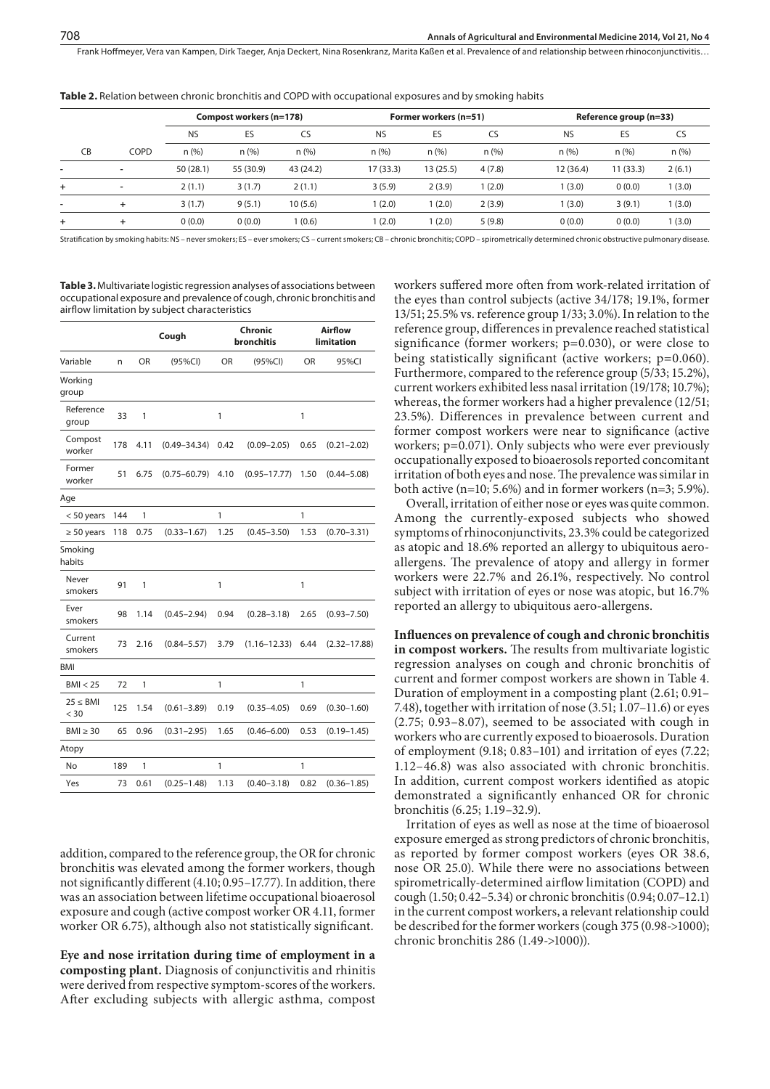Table 2. Relation between chronic bronchitis and COPD with occupational exposures and by smoking habits

|    |                          | Compost workers (n=178) |           |           |           | Former workers (n=51) |        |           | Reference group (n=33) |        |  |
|----|--------------------------|-------------------------|-----------|-----------|-----------|-----------------------|--------|-----------|------------------------|--------|--|
|    |                          | <b>NS</b>               | ES        | CS        | <b>NS</b> | ES                    | CS     | <b>NS</b> | ES                     | CS     |  |
| CB | COPD                     | n(%)                    | n(% )     | n(% )     | n(%)      | n(%)                  | n(%)   | n(%)      | n(%)                   | n(%)   |  |
|    | $\overline{\phantom{a}}$ | 50(28.1)                | 55 (30.9) | 43 (24.2) | 17 (33.3) | 13 (25.5)             | 4(7.8) | 12 (36.4) | 11 (33.3)              | 2(6.1) |  |
| ÷. | $\overline{\phantom{a}}$ | 2(1.1)                  | 3(1.7)    | 2(1.1)    | 3(5.9)    | 2(3.9)                | (2.0)  | 1(3.0)    | 0(0.0)                 | (3.0)  |  |
| ۰  |                          | 3(1.7)                  | 9(5.1)    | 10(5.6)   | (2.0)     | (2.0)                 | 2(3.9) | 1(3.0)    | 3(9.1)                 | (3.0)  |  |
| ÷  |                          | 0(0.0)                  | 0(0.0)    | 1 (0.6)   | (2.0)     | (2.0)                 | 5(9.8) | 0(0.0)    | 0(0.0)                 | (3.0)  |  |

Stratification by smoking habits: NS – never smokers; ES – ever smokers; CS – current smokers; CB – chronic bronchitis; COPD – spirometrically determined chronic obstructive pulmonary disease.

**Table 3.** Multivariate logistic regression analyses of associations between occupational exposure and prevalence of cough, chronic bronchitis and airflow limitation by subject characteristics

|                       |     |      | Cough            | Chronic<br><b>bronchitis</b> |                  | Airflow<br>limitation |                  |
|-----------------------|-----|------|------------------|------------------------------|------------------|-----------------------|------------------|
| Variable              | n   | OR   | (95%CI)          | OR                           | (95%CI)          | OR                    | 95%CI            |
| Working<br>group      |     |      |                  |                              |                  |                       |                  |
| Reference<br>group    | 33  | 1    |                  | 1                            |                  | 1                     |                  |
| Compost<br>worker     | 178 | 4.11 | $(0.49 - 34.34)$ | 0.42                         | $(0.09 - 2.05)$  | 0.65                  | $(0.21 - 2.02)$  |
| Former<br>worker      | 51  | 6.75 | $(0.75 - 60.79)$ | 4.10                         | $(0.95 - 17.77)$ | 1.50                  | $(0.44 - 5.08)$  |
| Age                   |     |      |                  |                              |                  |                       |                  |
| $< 50$ years          | 144 | 1    |                  | 1                            |                  | 1                     |                  |
| $\geq 50$ years       | 118 | 0.75 | $(0.33 - 1.67)$  | 1.25                         | $(0.45 - 3.50)$  | 1.53                  | $(0.70 - 3.31)$  |
| Smoking<br>habits     |     |      |                  |                              |                  |                       |                  |
| Never<br>smokers      | 91  | 1    |                  | 1                            |                  | 1                     |                  |
| Ever<br>smokers       | 98  | 1.14 | $(0.45 - 2.94)$  | 0.94                         | $(0.28 - 3.18)$  | 2.65                  | $(0.93 - 7.50)$  |
| Current<br>smokers    | 73  | 2.16 | $(0.84 - 5.57)$  | 3.79                         | $(1.16 - 12.33)$ | 6.44                  | $(2.32 - 17.88)$ |
| <b>BMI</b>            |     |      |                  |                              |                  |                       |                  |
| BMI < 25              | 72  | 1    |                  | 1                            |                  | 1                     |                  |
| $25 \leq BMI$<br>< 30 | 125 | 1.54 | $(0.61 - 3.89)$  | 0.19                         | $(0.35 - 4.05)$  | 0.69                  | $(0.30 - 1.60)$  |
| $BMI \geq 30$         | 65  | 0.96 | $(0.31 - 2.95)$  | 1.65                         | $(0.46 - 6.00)$  | 0.53                  | $(0.19 - 1.45)$  |
| Atopy                 |     |      |                  |                              |                  |                       |                  |
| No                    | 189 | 1    |                  | 1                            |                  | $\mathbf{1}$          |                  |
| Yes                   | 73  | 0.61 | $(0.25 - 1.48)$  | 1.13                         | $(0.40 - 3.18)$  | 0.82                  | $(0.36 - 1.85)$  |

addition, compared to the reference group, the OR for chronic bronchitis was elevated among the former workers, though not significantly different (4.10; 0.95–17.77). In addition, there was an association between lifetime occupational bioaerosol exposure and cough (active compost worker OR 4.11, former worker OR 6.75), although also not statistically significant.

**Eye and nose irritation during time of employment in a composting plant.** Diagnosis of conjunctivitis and rhinitis were derived from respective symptom-scores of the workers. After excluding subjects with allergic asthma, compost workers suffered more often from work-related irritation of the eyes than control subjects (active 34/178; 19.1%, former 13/51; 25.5% vs. reference group 1/33; 3.0%). In relation to the reference group, differences in prevalence reached statistical significance (former workers; p=0.030), or were close to being statistically significant (active workers; p=0.060). Furthermore, compared to the reference group (5/33; 15.2%), current workers exhibited less nasal irritation (19/178; 10.7%); whereas, the former workers had a higher prevalence (12/51; 23.5%). Differences in prevalence between current and former compost workers were near to significance (active workers; p=0.071). Only subjects who were ever previously occupationally exposed to bioaerosols reported concomitant irritation of both eyes and nose. The prevalence was similar in both active (n=10; 5.6%) and in former workers (n=3; 5.9%).

Overall, irritation of either nose or eyes was quite common. Among the currently-exposed subjects who showed symptoms of rhinoconjunctivits, 23.3% could be categorized as atopic and 18.6% reported an allergy to ubiquitous aeroallergens. The prevalence of atopy and allergy in former workers were 22.7% and 26.1%, respectively. No control subject with irritation of eyes or nose was atopic, but 16.7% reported an allergy to ubiquitous aero-allergens.

**Influences on prevalence of cough and chronic bronchitis in compost workers.** The results from multivariate logistic regression analyses on cough and chronic bronchitis of current and former compost workers are shown in Table 4. Duration of employment in a composting plant (2.61; 0.91– 7.48), together with irritation of nose (3.51; 1.07–11.6) or eyes (2.75; 0.93–8.07), seemed to be associated with cough in workers who are currently exposed to bioaerosols. Duration of employment (9.18; 0.83–101) and irritation of eyes (7.22; 1.12–46.8) was also associated with chronic bronchitis. In addition, current compost workers identified as atopic demonstrated a significantly enhanced OR for chronic bronchitis (6.25; 1.19–32.9).

Irritation of eyes as well as nose at the time of bioaerosol exposure emerged as strong predictors of chronic bronchitis, as reported by former compost workers (eyes OR 38.6, nose OR 25.0). While there were no associations between spirometrically-determined airflow limitation (COPD) and cough (1.50; 0.42–5.34) or chronic bronchitis (0.94; 0.07–12.1) in the current compost workers, a relevant relationship could be described for the former workers (cough 375 (0.98->1000); chronic bronchitis 286 (1.49->1000)).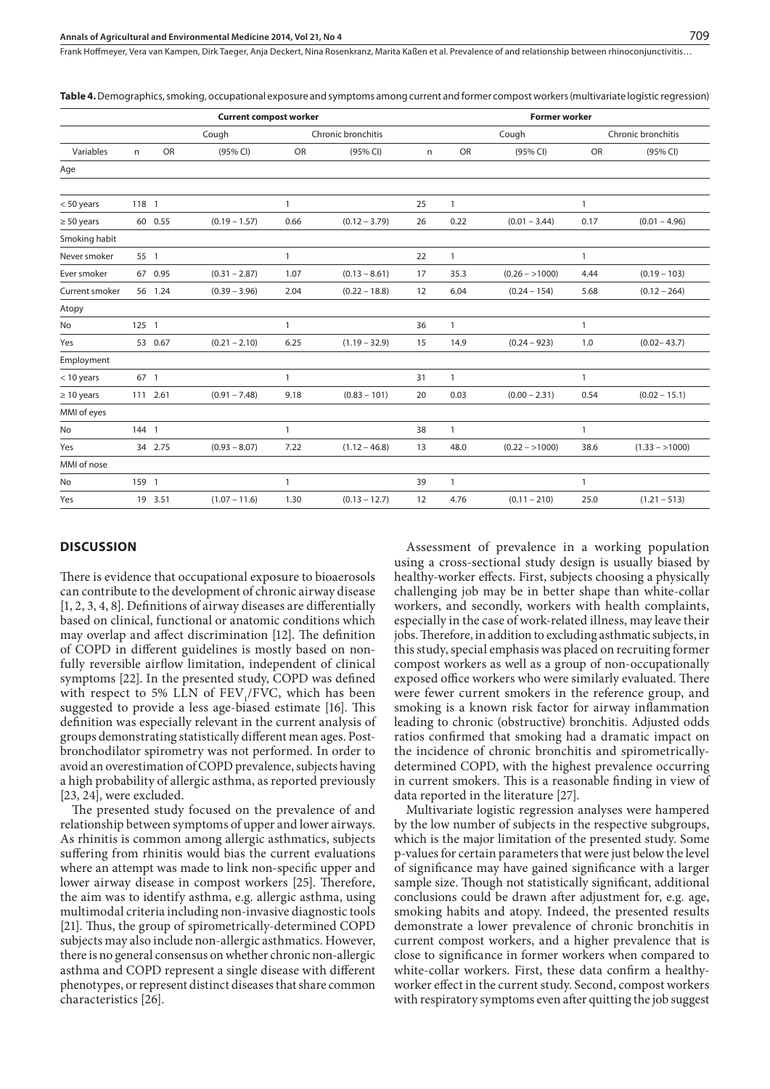**Current compost worker Former worker** Cough Chronic bronchitis Cough Chronic bronchitis Variables n OR (95% CI) OR (95% CI) n OR (95% CI) OR (95% CI) Age < 50 years 118 1 1 25 1 1 ≥ 50 years 60 0.55 (0.19 – 1.57) 0.66 (0.12 – 3.79) 26 0.22 (0.01 – 3.44) 0.17 (0.01 – 4.96) Smoking habit Never smoker 55 1 1 22 1 1 Ever smoker 67 0.95 (0.31 – 2.87) 1.07 (0.13 – 8.61) 17 35.3 (0.26 – >1000) 4.44 (0.19 – 103) Current smoker 56 1.24 (0.39 – 3.96) 2.04 (0.22 – 18.8) 12 6.04 (0.24 – 154) 5.68 (0.12 – 264) Atopy No 125 1 1 36 1 1 Yes 53 0.67 (0.21 – 2.10) 6.25 (1.19 – 32.9) 15 14.9 (0.24 – 923) 1.0 (0.02– 43.7) Employment < 10 years 67 1 1 31 1 1 ≥ 10 years 111 2.61 (0.91 – 7.48) 9.18 (0.83 – 101) 20 0.03 (0.00 – 2.31) 0.54 (0.02 – 15.1) MMI of eyes No 144 1 1 38 1 1 Yes 34 2.75 (0.93 – 8.07) 7.22 (1.12 – 46.8) 13 48.0 (0.22 – >1000) 38.6 (1.33 – >1000) MMI of nose No 159 1 1 39 1 1 Yes 19 3.51 (1.07 – 11.6) 1.30 (0.13 – 12.7) 12 4.76 (0.11 – 210) 25.0 (1.21 – 513)

**Table 4.** Demographics, smoking, occupational exposure and symptoms among current and former compost workers (multivariate logistic regression)

# **DISCUSSION**

There is evidence that occupational exposure to bioaerosols can contribute to the development of chronic airway disease [1, 2, 3, 4, 8]. Definitions of airway diseases are differentially based on clinical, functional or anatomic conditions which may overlap and affect discrimination [12]. The definition of COPD in different guidelines is mostly based on nonfully reversible airflow limitation, independent of clinical symptoms [22]. In the presented study, COPD was defined with respect to 5% LLN of  $FEV<sub>1</sub>/FVC$ , which has been suggested to provide a less age-biased estimate [16]. This definition was especially relevant in the current analysis of groups demonstrating statistically different mean ages. Postbronchodilator spirometry was not performed. In order to avoid an overestimation of COPD prevalence, subjects having a high probability of allergic asthma, as reported previously [23, 24], were excluded.

The presented study focused on the prevalence of and relationship between symptoms of upper and lower airways. As rhinitis is common among allergic asthmatics, subjects suffering from rhinitis would bias the current evaluations where an attempt was made to link non-specific upper and lower airway disease in compost workers [25]. Therefore, the aim was to identify asthma, e.g. allergic asthma, using multimodal criteria including non-invasive diagnostic tools [21]. Thus, the group of spirometrically-determined COPD subjects may also include non-allergic asthmatics. However, there is no general consensus on whether chronic non-allergic asthma and COPD represent a single disease with different phenotypes, or represent distinct diseases that share common characteristics [26].

Assessment of prevalence in a working population using a cross-sectional study design is usually biased by healthy-worker effects. First, subjects choosing a physically challenging job may be in better shape than white-collar workers, and secondly, workers with health complaints, especially in the case of work-related illness, may leave their jobs. Therefore, in addition to excluding asthmatic subjects, in this study, special emphasis was placed on recruiting former compost workers as well as a group of non-occupationally exposed office workers who were similarly evaluated. There were fewer current smokers in the reference group, and smoking is a known risk factor for airway inflammation leading to chronic (obstructive) bronchitis. Adjusted odds ratios confirmed that smoking had a dramatic impact on the incidence of chronic bronchitis and spirometricallydetermined COPD, with the highest prevalence occurring in current smokers. This is a reasonable finding in view of data reported in the literature [27].

Multivariate logistic regression analyses were hampered by the low number of subjects in the respective subgroups, which is the major limitation of the presented study. Some p-values for certain parameters that were just below the level of significance may have gained significance with a larger sample size. Though not statistically significant, additional conclusions could be drawn after adjustment for, e.g. age, smoking habits and atopy. Indeed, the presented results demonstrate a lower prevalence of chronic bronchitis in current compost workers, and a higher prevalence that is close to significance in former workers when compared to white-collar workers. First, these data confirm a healthyworker effect in the current study. Second, compost workers with respiratory symptoms even after quitting the job suggest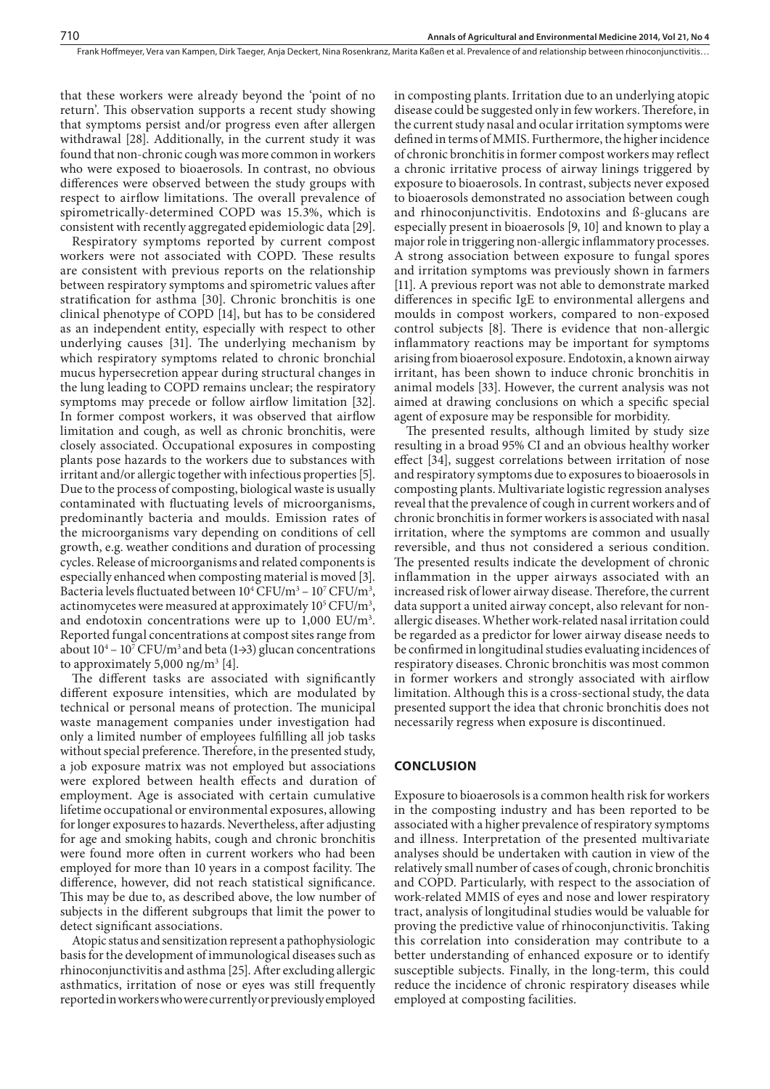that these workers were already beyond the 'point of no return'. This observation supports a recent study showing that symptoms persist and/or progress even after allergen withdrawal [28]. Additionally, in the current study it was found that non-chronic cough was more common in workers who were exposed to bioaerosols. In contrast, no obvious differences were observed between the study groups with respect to airflow limitations. The overall prevalence of spirometrically-determined COPD was 15.3%, which is consistent with recently aggregated epidemiologic data [29].

Respiratory symptoms reported by current compost workers were not associated with COPD. These results are consistent with previous reports on the relationship between respiratory symptoms and spirometric values after stratification for asthma [30]. Chronic bronchitis is one clinical phenotype of COPD [14], but has to be considered as an independent entity, especially with respect to other underlying causes [31]. The underlying mechanism by which respiratory symptoms related to chronic bronchial mucus hypersecretion appear during structural changes in the lung leading to COPD remains unclear; the respiratory symptoms may precede or follow airflow limitation [32]. In former compost workers, it was observed that airflow limitation and cough, as well as chronic bronchitis, were closely associated. Occupational exposures in composting plants pose hazards to the workers due to substances with irritant and/or allergic together with infectious properties [5]. Due to the process of composting, biological waste is usually contaminated with fluctuating levels of microorganisms, predominantly bacteria and moulds. Emission rates of the microorganisms vary depending on conditions of cell growth, e.g. weather conditions and duration of processing cycles. Release of microorganisms and related components is especially enhanced when composting material is moved [3]. Bacteria levels fluctuated between  $10^4 \text{ CFU/m}^3 - 10^7 \text{ CFU/m}^3$ , actinomycetes were measured at approximately  $10^5 \mathrm{CFU/m^3}$ , and endotoxin concentrations were up to  $1,000$  EU/m<sup>3</sup>. Reported fungal concentrations at compost sites range from about  $10^4 - 10^7$  CFU/m<sup>3</sup> and beta (1→3) glucan concentrations to approximately  $5,000$  ng/m<sup>3</sup> [4].

The different tasks are associated with significantly different exposure intensities, which are modulated by technical or personal means of protection. The municipal waste management companies under investigation had only a limited number of employees fulfilling all job tasks without special preference. Therefore, in the presented study, a job exposure matrix was not employed but associations were explored between health effects and duration of employment. Age is associated with certain cumulative lifetime occupational or environmental exposures, allowing for longer exposures to hazards. Nevertheless, after adjusting for age and smoking habits, cough and chronic bronchitis were found more often in current workers who had been employed for more than 10 years in a compost facility. The difference, however, did not reach statistical significance. This may be due to, as described above, the low number of subjects in the different subgroups that limit the power to detect significant associations.

Atopic status and sensitization represent a pathophysiologic basis for the development of immunological diseases such as rhinoconjunctivitis and asthma [25]. After excluding allergic asthmatics, irritation of nose or eyes was still frequently reported in workers who were currently or previously employed

in composting plants. Irritation due to an underlying atopic disease could be suggested only in few workers. Therefore, in the current study nasal and ocular irritation symptoms were defined in terms of MMIS. Furthermore, the higher incidence of chronic bronchitis in former compost workers may reflect a chronic irritative process of airway linings triggered by exposure to bioaerosols. In contrast, subjects never exposed to bioaerosols demonstrated no association between cough and rhinoconjunctivitis. Endotoxins and ß-glucans are especially present in bioaerosols [9, 10] and known to play a major role in triggering non-allergic inflammatory processes. A strong association between exposure to fungal spores and irritation symptoms was previously shown in farmers [11]. A previous report was not able to demonstrate marked differences in specific IgE to environmental allergens and moulds in compost workers, compared to non-exposed control subjects [8]. There is evidence that non-allergic inflammatory reactions may be important for symptoms arising from bioaerosol exposure. Endotoxin, a known airway irritant, has been shown to induce chronic bronchitis in animal models [33]. However, the current analysis was not aimed at drawing conclusions on which a specific special agent of exposure may be responsible for morbidity.

The presented results, although limited by study size resulting in a broad 95% CI and an obvious healthy worker effect [34], suggest correlations between irritation of nose and respiratory symptoms due to exposures to bioaerosols in composting plants. Multivariate logistic regression analyses reveal that the prevalence of cough in current workers and of chronic bronchitis in former workers is associated with nasal irritation, where the symptoms are common and usually reversible, and thus not considered a serious condition. The presented results indicate the development of chronic inflammation in the upper airways associated with an increased risk of lower airway disease. Therefore, the current data support a united airway concept, also relevant for nonallergic diseases. Whether work-related nasal irritation could be regarded as a predictor for lower airway disease needs to be confirmed in longitudinal studies evaluating incidences of respiratory diseases. Chronic bronchitis was most common in former workers and strongly associated with airflow limitation. Although this is a cross-sectional study, the data presented support the idea that chronic bronchitis does not necessarily regress when exposure is discontinued.

## **CONCLUSION**

Exposure to bioaerosols is a common health risk for workers in the composting industry and has been reported to be associated with a higher prevalence of respiratory symptoms and illness. Interpretation of the presented multivariate analyses should be undertaken with caution in view of the relatively small number of cases of cough, chronic bronchitis and COPD. Particularly, with respect to the association of work-related MMIS of eyes and nose and lower respiratory tract, analysis of longitudinal studies would be valuable for proving the predictive value of rhinoconjunctivitis. Taking this correlation into consideration may contribute to a better understanding of enhanced exposure or to identify susceptible subjects. Finally, in the long-term, this could reduce the incidence of chronic respiratory diseases while employed at composting facilities.